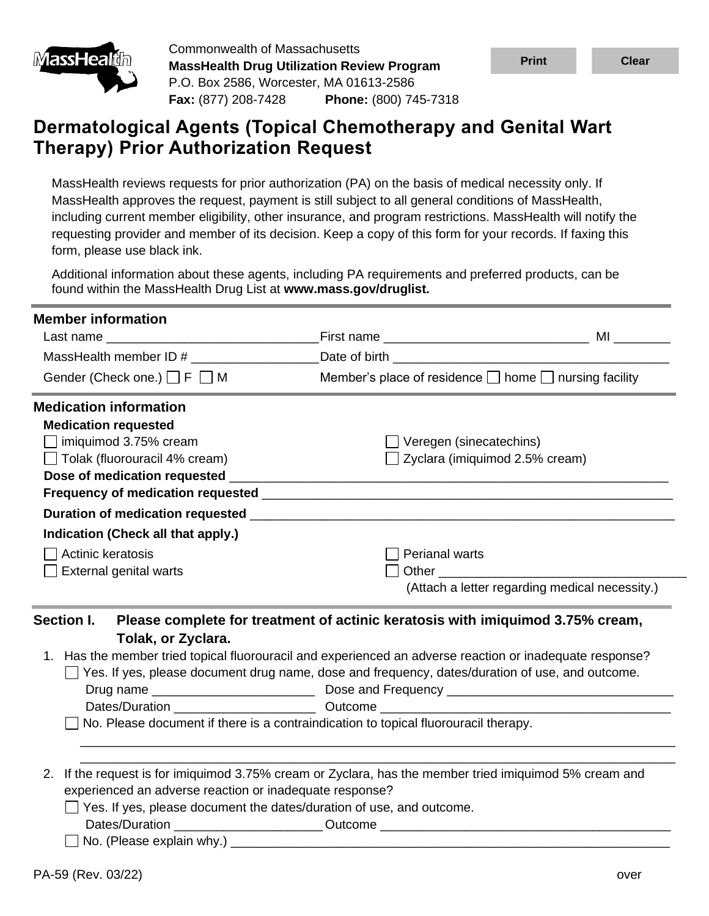

Commonwealth of Massachusetts **MassHealth Drug Utilization Review Program** P.O. Box 2586, Worcester, MA 01613-2586 **Fax:** (877) 208-7428 **Phone:** (800) 745-7318



MassHealth reviews requests for prior authorization (PA) on the basis of medical necessity only. If MassHealth approves the request, payment is still subject to all general conditions of MassHealth, including current member eligibility, other insurance, and program restrictions. MassHealth will notify the requesting provider and member of its decision. Keep a copy of this form for your records. If faxing this form, please use black ink.

Additional information about these agents, including PA requirements and preferred products, can be found within the MassHealth Drug List at **www.mass.gov/druglist.**

| <b>Member information</b>                                                   |                                                                                                                                                                                                                                |                                                |  |  |
|-----------------------------------------------------------------------------|--------------------------------------------------------------------------------------------------------------------------------------------------------------------------------------------------------------------------------|------------------------------------------------|--|--|
| Last name                                                                   |                                                                                                                                                                                                                                |                                                |  |  |
| MassHealth member ID #                                                      | Date of birth and the state of the state of the state of the state of the state of the state of the state of the state of the state of the state of the state of the state of the state of the state of the state of the state |                                                |  |  |
| Gender (Check one.) $\Box$ F $\Box$ M                                       | Member's place of residence $\Box$ home $\Box$ nursing facility                                                                                                                                                                |                                                |  |  |
| <b>Medication information</b>                                               |                                                                                                                                                                                                                                |                                                |  |  |
| <b>Medication requested</b>                                                 |                                                                                                                                                                                                                                |                                                |  |  |
| $\Box$ imiquimod 3.75% cream                                                | $\Box$ Veregen (sinecatechins)                                                                                                                                                                                                 |                                                |  |  |
| □ Tolak (fluorouracil 4% cream)                                             | Zyclara (imiquimod 2.5% cream)                                                                                                                                                                                                 |                                                |  |  |
|                                                                             |                                                                                                                                                                                                                                |                                                |  |  |
|                                                                             |                                                                                                                                                                                                                                |                                                |  |  |
|                                                                             |                                                                                                                                                                                                                                |                                                |  |  |
| Indication (Check all that apply.)                                          |                                                                                                                                                                                                                                |                                                |  |  |
| Actinic keratosis                                                           | <b>Perianal warts</b>                                                                                                                                                                                                          |                                                |  |  |
| <b>External genital warts</b>                                               |                                                                                                                                                                                                                                |                                                |  |  |
|                                                                             |                                                                                                                                                                                                                                | (Attach a letter regarding medical necessity.) |  |  |
| Section I.                                                                  | Please complete for treatment of actinic keratosis with imiquimod 3.75% cream,                                                                                                                                                 |                                                |  |  |
| Tolak, or Zyclara.                                                          |                                                                                                                                                                                                                                |                                                |  |  |
|                                                                             | 1. Has the member tried topical fluorouracil and experienced an adverse reaction or inadequate response?<br>Yes. If yes, please document drug name, dose and frequency, dates/duration of use, and outcome.                    |                                                |  |  |
|                                                                             | Dates/Duration <b>Dates/Duration Duration Duration Duration Duration Duration Duration Duration Duration Duration Duration Duration Duration Duration Duration Duration Duration Duration Du</b>                               |                                                |  |  |
|                                                                             | No. Please document if there is a contraindication to topical fluorouracil therapy.                                                                                                                                            |                                                |  |  |
|                                                                             |                                                                                                                                                                                                                                |                                                |  |  |
|                                                                             |                                                                                                                                                                                                                                |                                                |  |  |
| 2.                                                                          | If the request is for imiquimod 3.75% cream or Zyclara, has the member tried imiquimod 5% cream and                                                                                                                            |                                                |  |  |
| experienced an adverse reaction or inadequate response?                     |                                                                                                                                                                                                                                |                                                |  |  |
| $\Box$ Yes. If yes, please document the dates/duration of use, and outcome. |                                                                                                                                                                                                                                |                                                |  |  |
|                                                                             | Dates/Duration _________________________Outcome ________________________________                                                                                                                                               |                                                |  |  |
|                                                                             |                                                                                                                                                                                                                                |                                                |  |  |

**Print Clear**